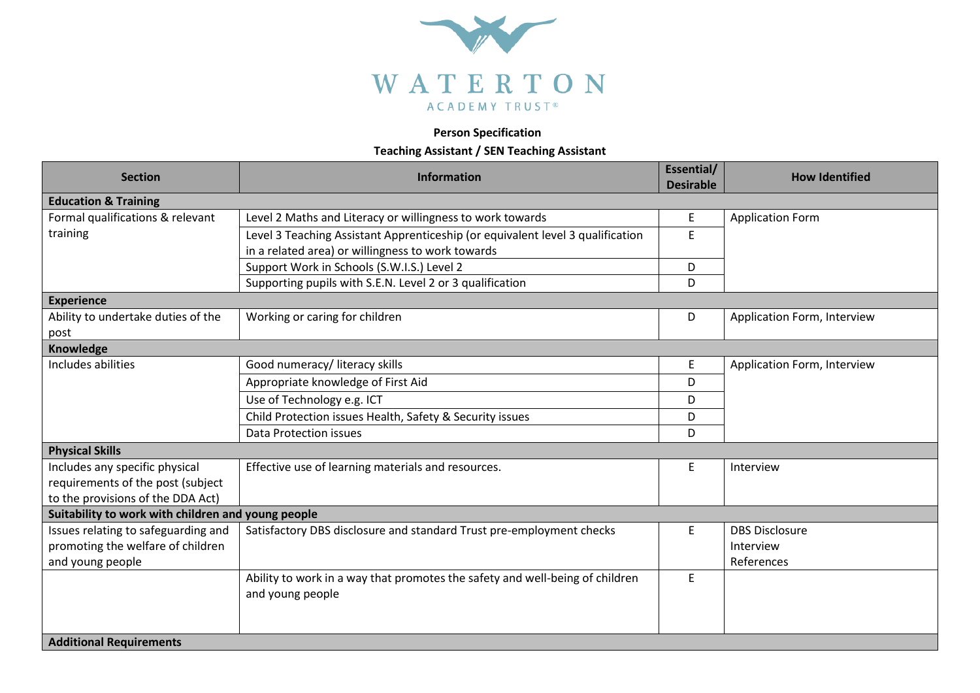

## **Person Specification**

## **Teaching Assistant / SEN Teaching Assistant**

| <b>Section</b>                                     | Information                                                                    | Essential/<br><b>Desirable</b> | <b>How Identified</b>       |  |  |
|----------------------------------------------------|--------------------------------------------------------------------------------|--------------------------------|-----------------------------|--|--|
| <b>Education &amp; Training</b>                    |                                                                                |                                |                             |  |  |
| Formal qualifications & relevant                   | Level 2 Maths and Literacy or willingness to work towards                      | E                              | <b>Application Form</b>     |  |  |
| training                                           | Level 3 Teaching Assistant Apprenticeship (or equivalent level 3 qualification | E                              |                             |  |  |
|                                                    | in a related area) or willingness to work towards                              |                                |                             |  |  |
|                                                    | Support Work in Schools (S.W.I.S.) Level 2                                     | D                              |                             |  |  |
|                                                    | Supporting pupils with S.E.N. Level 2 or 3 qualification                       | D                              |                             |  |  |
| <b>Experience</b>                                  |                                                                                |                                |                             |  |  |
| Ability to undertake duties of the                 | Working or caring for children                                                 | D                              | Application Form, Interview |  |  |
| post                                               |                                                                                |                                |                             |  |  |
| Knowledge                                          |                                                                                |                                |                             |  |  |
| Includes abilities                                 | Good numeracy/ literacy skills                                                 | E                              | Application Form, Interview |  |  |
|                                                    | Appropriate knowledge of First Aid                                             | D                              |                             |  |  |
|                                                    | Use of Technology e.g. ICT                                                     | D                              |                             |  |  |
|                                                    | Child Protection issues Health, Safety & Security issues                       | D                              |                             |  |  |
|                                                    | Data Protection issues                                                         | D                              |                             |  |  |
| <b>Physical Skills</b>                             |                                                                                |                                |                             |  |  |
| Includes any specific physical                     | Effective use of learning materials and resources.                             | E                              | Interview                   |  |  |
| requirements of the post (subject                  |                                                                                |                                |                             |  |  |
| to the provisions of the DDA Act)                  |                                                                                |                                |                             |  |  |
| Suitability to work with children and young people |                                                                                |                                |                             |  |  |
| Issues relating to safeguarding and                | Satisfactory DBS disclosure and standard Trust pre-employment checks           | E                              | <b>DBS Disclosure</b>       |  |  |
| promoting the welfare of children                  |                                                                                |                                | Interview                   |  |  |
| and young people                                   |                                                                                |                                | References                  |  |  |
|                                                    | Ability to work in a way that promotes the safety and well-being of children   | E                              |                             |  |  |
|                                                    | and young people                                                               |                                |                             |  |  |
|                                                    |                                                                                |                                |                             |  |  |
|                                                    |                                                                                |                                |                             |  |  |
| <b>Additional Requirements</b>                     |                                                                                |                                |                             |  |  |